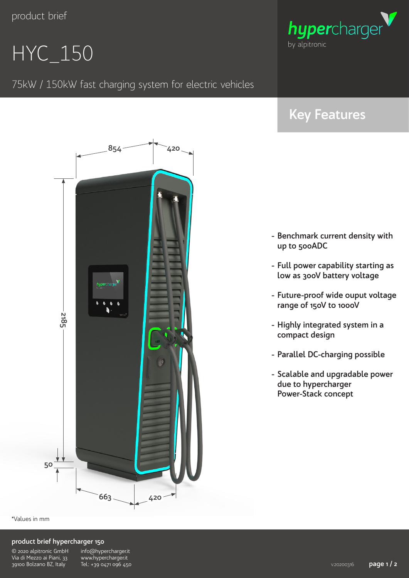product brief

# HYC\_150

### 75kW / 150kW fast charging system for electric vehicles



## **Key Features**

- **- Benchmark current density with up to 500ADC**
- **- Full power capability starting as low as 300V battery voltage**
- **- Future-proof wide ouput voltage range of 150V to 1000V**
- **- Highly integrated system in a compact design**
- **- Parallel DC-charging possible**
- **- Scalable and upgradable power due to hypercharger Power-Stack concept**

\*Values in mm

#### **product brief hypercharger 150**

| © 2020 alpitronic GmbH    |
|---------------------------|
| Via di Mezzo ai Piani, 33 |
| 39100 Bolzano BZ, Italy   |

info@hypercharger.it www.hypercharger.it